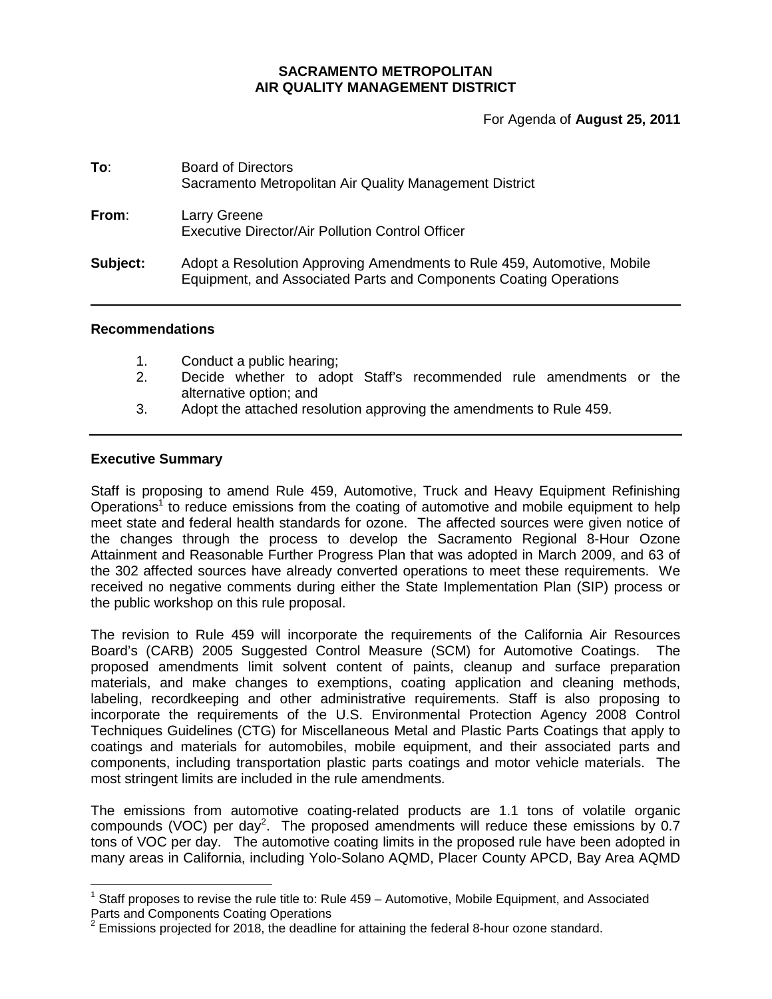### **SACRAMENTO METROPOLITAN AIR QUALITY MANAGEMENT DISTRICT**

For Agenda of **August 25, 2011**

| To:      | <b>Board of Directors</b><br>Sacramento Metropolitan Air Quality Management District                                                         |
|----------|----------------------------------------------------------------------------------------------------------------------------------------------|
| From:    | Larry Greene<br><b>Executive Director/Air Pollution Control Officer</b>                                                                      |
| Subject: | Adopt a Resolution Approving Amendments to Rule 459, Automotive, Mobile<br>Equipment, and Associated Parts and Components Coating Operations |

#### **Recommendations**

- 1. Conduct a public hearing;
- 2. Decide whether to adopt Staff's recommended rule amendments or the alternative option; and
- 3. Adopt the attached resolution approving the amendments to Rule 459.

### **Executive Summary**

Staff is proposing to amend Rule 459, Automotive, Truck and Heavy Equipment Refinishing Operations<sup>1</sup> to reduce emissions from the coating of automotive and mobile equipment to help meet state and federal health standards for ozone. The affected sources were given notice of the changes through the process to develop the Sacramento Regional 8-Hour Ozone Attainment and Reasonable Further Progress Plan that was adopted in March 2009, and 63 of the 302 affected sources have already converted operations to meet these requirements. We received no negative comments during either the State Implementation Plan (SIP) process or the public workshop on this rule proposal.

The revision to Rule 459 will incorporate the requirements of the California Air Resources Board's (CARB) 2005 Suggested Control Measure (SCM) for Automotive Coatings. The proposed amendments limit solvent content of paints, cleanup and surface preparation materials, and make changes to exemptions, coating application and cleaning methods, labeling, recordkeeping and other administrative requirements. Staff is also proposing to incorporate the requirements of the U.S. Environmental Protection Agency 2008 Control Techniques Guidelines (CTG) for Miscellaneous Metal and Plastic Parts Coatings that apply to coatings and materials for automobiles, mobile equipment, and their associated parts and components, including transportation plastic parts coatings and motor vehicle materials. The most stringent limits are included in the rule amendments.

The emissions from automotive coating-related products are 1.1 tons of volatile organic compounds (VOC) per day<sup>2</sup>. The proposed amendments will reduce these emissions by 0.7 tons of VOC per day. The automotive coating limits in the proposed rule have been adopted in many areas in California, including Yolo-Solano AQMD, Placer County APCD, Bay Area AQMD

<sup>1</sup> Staff proposes to revise the rule title to: Rule 459 – Automotive, Mobile Equipment, and Associated Parts and Components Coating Operations

 $2$  Emissions projected for 2018, the deadline for attaining the federal 8-hour ozone standard.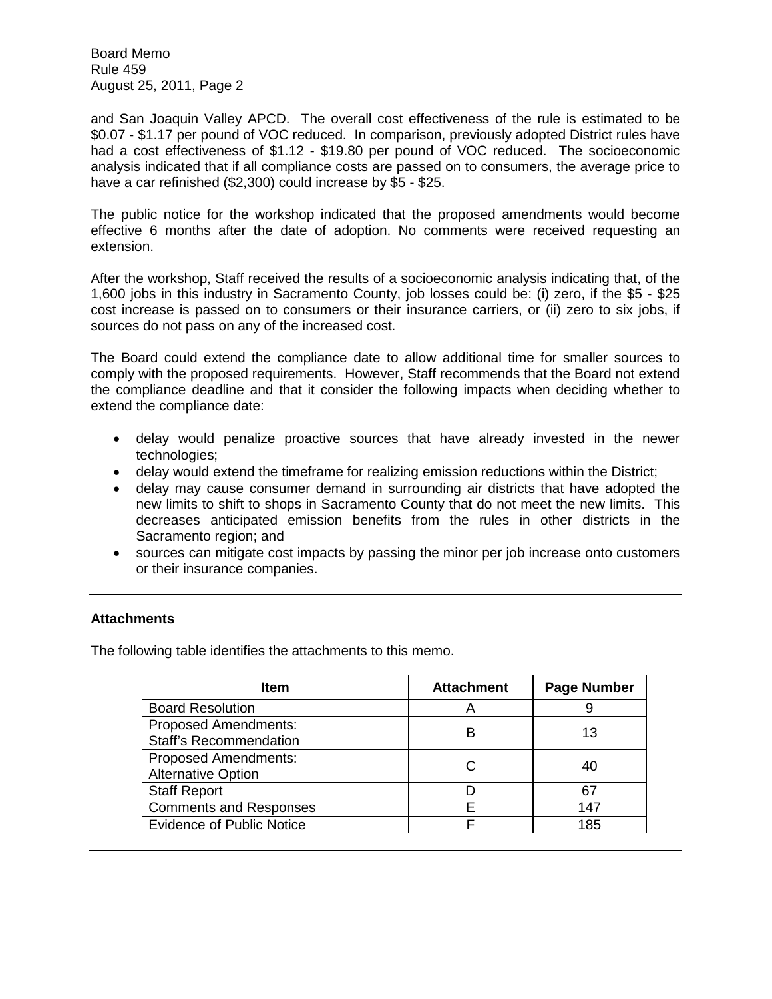and San Joaquin Valley APCD. The overall cost effectiveness of the rule is estimated to be \$0.07 - \$1.17 per pound of VOC reduced. In comparison, previously adopted District rules have had a cost effectiveness of \$1.12 - \$19.80 per pound of VOC reduced. The socioeconomic analysis indicated that if all compliance costs are passed on to consumers, the average price to have a car refinished (\$2,300) could increase by \$5 - \$25.

The public notice for the workshop indicated that the proposed amendments would become effective 6 months after the date of adoption. No comments were received requesting an extension.

After the workshop, Staff received the results of a socioeconomic analysis indicating that, of the 1,600 jobs in this industry in Sacramento County, job losses could be: (i) zero, if the \$5 - \$25 cost increase is passed on to consumers or their insurance carriers, or (ii) zero to six jobs, if sources do not pass on any of the increased cost.

The Board could extend the compliance date to allow additional time for smaller sources to comply with the proposed requirements. However, Staff recommends that the Board not extend the compliance deadline and that it consider the following impacts when deciding whether to extend the compliance date:

- delay would penalize proactive sources that have already invested in the newer technologies;
- delay would extend the timeframe for realizing emission reductions within the District;
- delay may cause consumer demand in surrounding air districts that have adopted the new limits to shift to shops in Sacramento County that do not meet the new limits. This decreases anticipated emission benefits from the rules in other districts in the Sacramento region; and
- sources can mitigate cost impacts by passing the minor per job increase onto customers or their insurance companies.

# **Attachments**

The following table identifies the attachments to this memo.

| Item                                                         | <b>Attachment</b> | <b>Page Number</b> |
|--------------------------------------------------------------|-------------------|--------------------|
| <b>Board Resolution</b>                                      | A                 |                    |
| <b>Proposed Amendments:</b><br><b>Staff's Recommendation</b> | в                 | 13                 |
| <b>Proposed Amendments:</b><br><b>Alternative Option</b>     |                   | 40                 |
| <b>Staff Report</b>                                          |                   | 67                 |
| <b>Comments and Responses</b>                                | F                 | 147                |
| <b>Evidence of Public Notice</b>                             | F                 | 185                |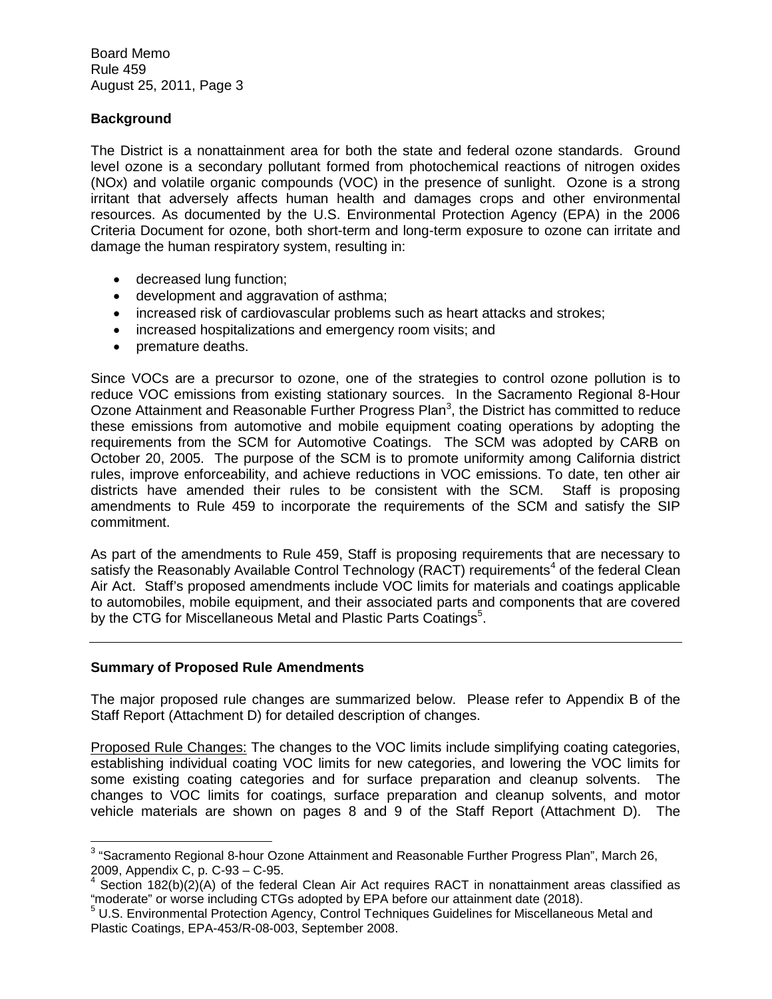## **Background**

The District is a nonattainment area for both the state and federal ozone standards. Ground level ozone is a secondary pollutant formed from photochemical reactions of nitrogen oxides (NOx) and volatile organic compounds (VOC) in the presence of sunlight. Ozone is a strong irritant that adversely affects human health and damages crops and other environmental resources. As documented by the U.S. Environmental Protection Agency (EPA) in the 2006 Criteria Document for ozone, both short-term and long-term exposure to ozone can irritate and damage the human respiratory system, resulting in:

- decreased lung function;
- development and aggravation of asthma;
- increased risk of cardiovascular problems such as heart attacks and strokes;
- increased hospitalizations and emergency room visits; and
- premature deaths.

Since VOCs are a precursor to ozone, one of the strategies to control ozone pollution is to reduce VOC emissions from existing stationary sources. In the Sacramento Regional 8-Hour Ozone Attainment and Reasonable Further Progress Plan<sup>3</sup>, the District has committed to reduce these emissions from automotive and mobile equipment coating operations by adopting the requirements from the SCM for Automotive Coatings. The SCM was adopted by CARB on October 20, 2005. The purpose of the SCM is to promote uniformity among California district rules, improve enforceability, and achieve reductions in VOC emissions. To date, ten other air districts have amended their rules to be consistent with the SCM. Staff is proposing amendments to Rule 459 to incorporate the requirements of the SCM and satisfy the SIP commitment.

As part of the amendments to Rule 459, Staff is proposing requirements that are necessary to satisfy the Reasonably Available Control Technology (RACT) requirements<sup>4</sup> of the federal Clean Air Act. Staff's proposed amendments include VOC limits for materials and coatings applicable to automobiles, mobile equipment, and their associated parts and components that are covered by the CTG for Miscellaneous Metal and Plastic Parts Coatings<sup>5</sup>.

### **Summary of Proposed Rule Amendments**

The major proposed rule changes are summarized below. Please refer to Appendix B of the Staff Report (Attachment D) for detailed description of changes.

Proposed Rule Changes: The changes to the VOC limits include simplifying coating categories, establishing individual coating VOC limits for new categories, and lowering the VOC limits for some existing coating categories and for surface preparation and cleanup solvents. The changes to VOC limits for coatings, surface preparation and cleanup solvents, and motor vehicle materials are shown on pages 8 and 9 of the Staff Report (Attachment D). The

 $^3$  "Sacramento Regional 8-hour Ozone Attainment and Reasonable Further Progress Plan", March 26, 2009, Appendix C, p. C-93 – C-95.

 $4$  Section 182(b)(2)(A) of the federal Clean Air Act requires RACT in nonattainment areas classified as "moderate" or worse including CTGs adopted by EPA before our attainment date (2018).

<sup>5</sup> U.S. Environmental Protection Agency, Control Techniques Guidelines for Miscellaneous Metal and Plastic Coatings, EPA-453/R-08-003, September 2008.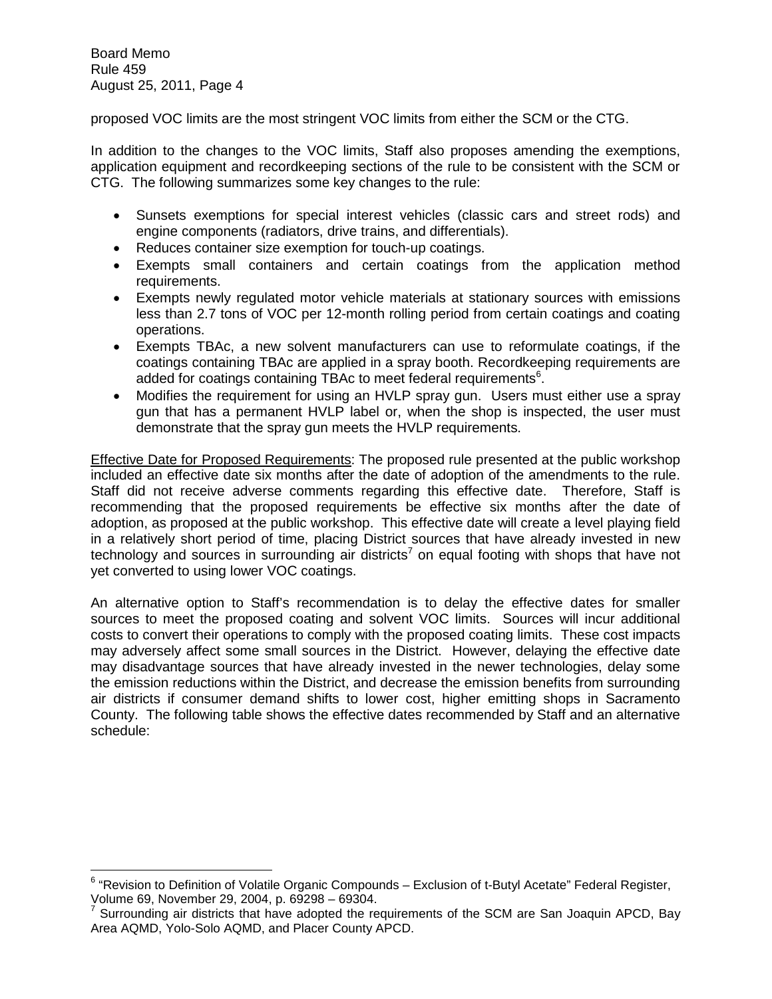proposed VOC limits are the most stringent VOC limits from either the SCM or the CTG.

In addition to the changes to the VOC limits, Staff also proposes amending the exemptions, application equipment and recordkeeping sections of the rule to be consistent with the SCM or CTG. The following summarizes some key changes to the rule:

- Sunsets exemptions for special interest vehicles (classic cars and street rods) and engine components (radiators, drive trains, and differentials).
- Reduces container size exemption for touch-up coatings.
- Exempts small containers and certain coatings from the application method requirements.
- Exempts newly regulated motor vehicle materials at stationary sources with emissions less than 2.7 tons of VOC per 12-month rolling period from certain coatings and coating operations.
- Exempts TBAc, a new solvent manufacturers can use to reformulate coatings, if the coatings containing TBAc are applied in a spray booth. Recordkeeping requirements are added for coatings containing TBAc to meet federal requirements $^6$ .
- Modifies the requirement for using an HVLP spray gun. Users must either use a spray gun that has a permanent HVLP label or, when the shop is inspected, the user must demonstrate that the spray gun meets the HVLP requirements.

Effective Date for Proposed Requirements: The proposed rule presented at the public workshop included an effective date six months after the date of adoption of the amendments to the rule. Staff did not receive adverse comments regarding this effective date. Therefore, Staff is recommending that the proposed requirements be effective six months after the date of adoption, as proposed at the public workshop. This effective date will create a level playing field in a relatively short period of time, placing District sources that have already invested in new technology and sources in surrounding air districts<sup>7</sup> on equal footing with shops that have not yet converted to using lower VOC coatings.

An alternative option to Staff's recommendation is to delay the effective dates for smaller sources to meet the proposed coating and solvent VOC limits. Sources will incur additional costs to convert their operations to comply with the proposed coating limits. These cost impacts may adversely affect some small sources in the District. However, delaying the effective date may disadvantage sources that have already invested in the newer technologies, delay some the emission reductions within the District, and decrease the emission benefits from surrounding air districts if consumer demand shifts to lower cost, higher emitting shops in Sacramento County. The following table shows the effective dates recommended by Staff and an alternative schedule:

<sup>&</sup>lt;sup>6</sup> "Revision to Definition of Volatile Organic Compounds – Exclusion of t-Butyl Acetate" Federal Register, Volume 69, November 29, 2004, p. 69298 – 69304.

 $7$  Surrounding air districts that have adopted the requirements of the SCM are San Joaquin APCD, Bay Area AQMD, Yolo-Solo AQMD, and Placer County APCD.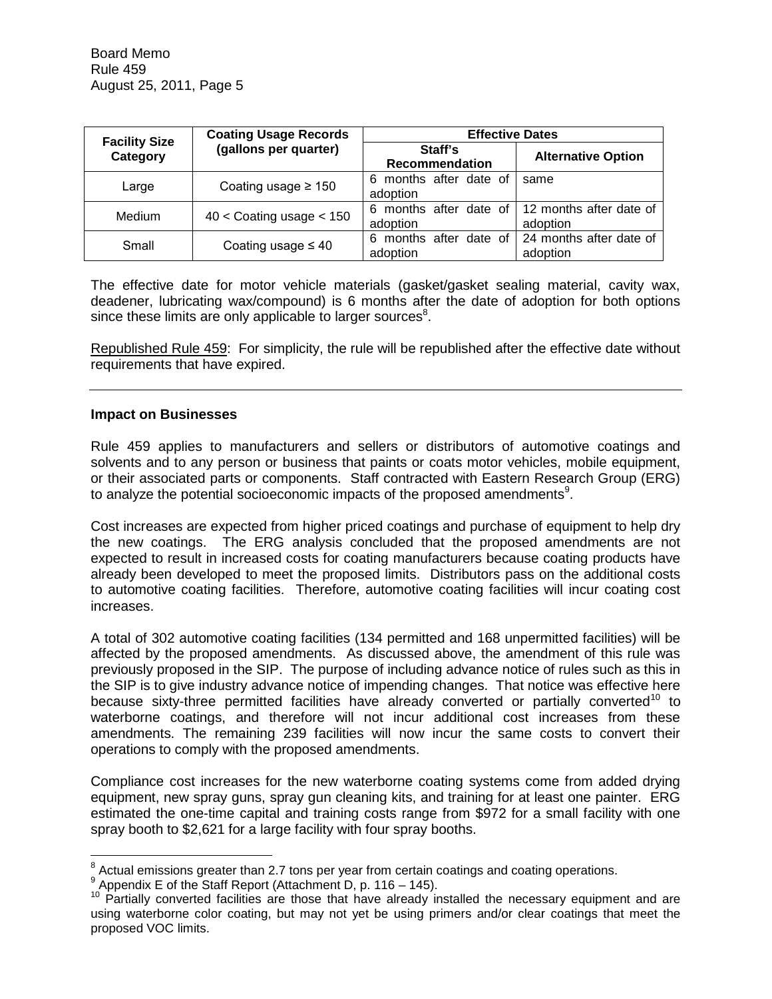| <b>Facility Size</b> | <b>Coating Usage Records</b> | <b>Effective Dates</b>                                     |                                                          |
|----------------------|------------------------------|------------------------------------------------------------|----------------------------------------------------------|
| Category             | (gallons per quarter)        | Staff's<br>Recommendation                                  | <b>Alternative Option</b>                                |
| Large                | Coating usage $\geq 150$     | 6 months after date of<br>adoption                         | same                                                     |
| Medium               | $40 <$ Coating usage $< 150$ | 6 months after date of 12 months after date of<br>adoption | adoption                                                 |
| Small                | Coating usage $\leq 40$      | 6<br>adoption                                              | months after date of 24 months after date of<br>adoption |

The effective date for motor vehicle materials (gasket/gasket sealing material, cavity wax, deadener, lubricating wax/compound) is 6 months after the date of adoption for both options since these limits are only applicable to larger sources $8$ .

Republished Rule 459: For simplicity, the rule will be republished after the effective date without requirements that have expired.

#### **Impact on Businesses**

Rule 459 applies to manufacturers and sellers or distributors of automotive coatings and solvents and to any person or business that paints or coats motor vehicles, mobile equipment, or their associated parts or components. Staff contracted with Eastern Research Group (ERG) to analyze the potential socioeconomic impacts of the proposed amendments $9$ .

Cost increases are expected from higher priced coatings and purchase of equipment to help dry the new coatings. The ERG analysis concluded that the proposed amendments are not expected to result in increased costs for coating manufacturers because coating products have already been developed to meet the proposed limits. Distributors pass on the additional costs to automotive coating facilities. Therefore, automotive coating facilities will incur coating cost increases.

A total of 302 automotive coating facilities (134 permitted and 168 unpermitted facilities) will be affected by the proposed amendments. As discussed above, the amendment of this rule was previously proposed in the SIP. The purpose of including advance notice of rules such as this in the SIP is to give industry advance notice of impending changes. That notice was effective here because sixty-three permitted facilities have already converted or partially converted<sup>10</sup> to waterborne coatings, and therefore will not incur additional cost increases from these amendments. The remaining 239 facilities will now incur the same costs to convert their operations to comply with the proposed amendments.

Compliance cost increases for the new waterborne coating systems come from added drying equipment, new spray guns, spray gun cleaning kits, and training for at least one painter. ERG estimated the one-time capital and training costs range from \$972 for a small facility with one spray booth to \$2,621 for a large facility with four spray booths.

 $8$  Actual emissions greater than 2.7 tons per year from certain coatings and coating operations.

 $9$  Appendix E of the Staff Report (Attachment D, p. 116 – 145).

<sup>&</sup>lt;sup>10</sup> Partially converted facilities are those that have already installed the necessary equipment and are using waterborne color coating, but may not yet be using primers and/or clear coatings that meet the proposed VOC limits.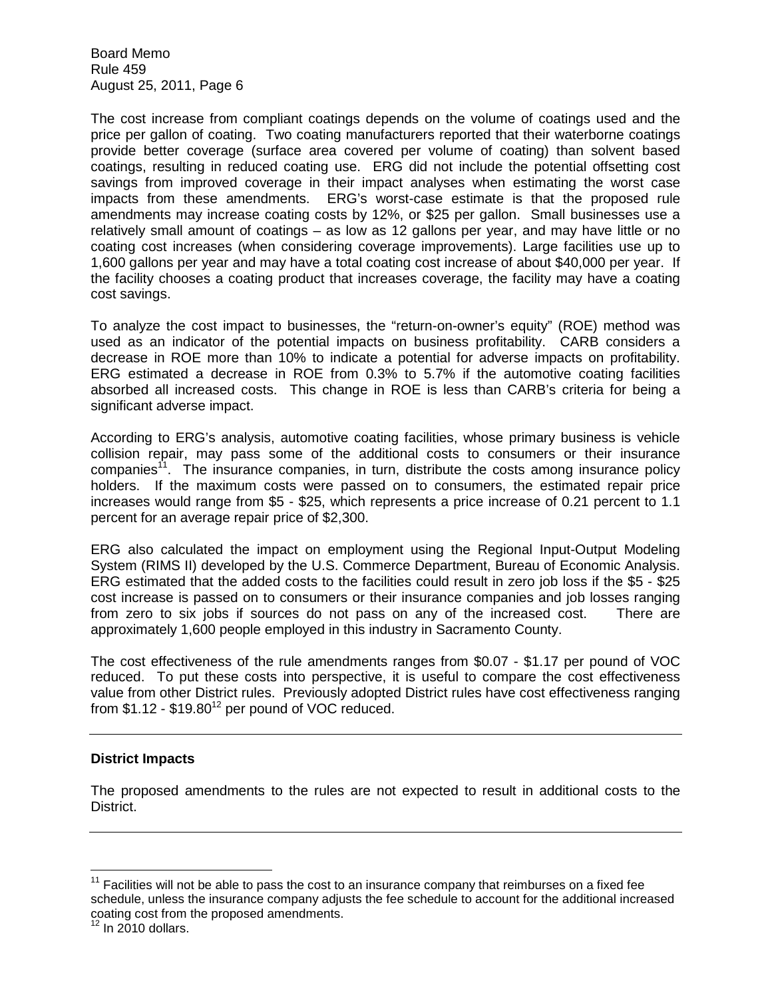The cost increase from compliant coatings depends on the volume of coatings used and the price per gallon of coating. Two coating manufacturers reported that their waterborne coatings provide better coverage (surface area covered per volume of coating) than solvent based coatings, resulting in reduced coating use. ERG did not include the potential offsetting cost savings from improved coverage in their impact analyses when estimating the worst case impacts from these amendments. ERG's worst-case estimate is that the proposed rule amendments may increase coating costs by 12%, or \$25 per gallon. Small businesses use a relatively small amount of coatings – as low as 12 gallons per year, and may have little or no coating cost increases (when considering coverage improvements). Large facilities use up to 1,600 gallons per year and may have a total coating cost increase of about \$40,000 per year. If the facility chooses a coating product that increases coverage, the facility may have a coating cost savings.

To analyze the cost impact to businesses, the "return-on-owner's equity" (ROE) method was used as an indicator of the potential impacts on business profitability. CARB considers a decrease in ROE more than 10% to indicate a potential for adverse impacts on profitability. ERG estimated a decrease in ROE from 0.3% to 5.7% if the automotive coating facilities absorbed all increased costs. This change in ROE is less than CARB's criteria for being a significant adverse impact.

According to ERG's analysis, automotive coating facilities, whose primary business is vehicle collision repair, may pass some of the additional costs to consumers or their insurance companies<sup>11</sup>. The insurance companies, in turn, distribute the costs among insurance policy holders. If the maximum costs were passed on to consumers, the estimated repair price increases would range from \$5 - \$25, which represents a price increase of 0.21 percent to 1.1 percent for an average repair price of \$2,300.

ERG also calculated the impact on employment using the Regional Input-Output Modeling System (RIMS II) developed by the U.S. Commerce Department, Bureau of Economic Analysis. ERG estimated that the added costs to the facilities could result in zero job loss if the \$5 - \$25 cost increase is passed on to consumers or their insurance companies and job losses ranging from zero to six jobs if sources do not pass on any of the increased cost. There are approximately 1,600 people employed in this industry in Sacramento County.

The cost effectiveness of the rule amendments ranges from \$0.07 - \$1.17 per pound of VOC reduced. To put these costs into perspective, it is useful to compare the cost effectiveness value from other District rules. Previously adopted District rules have cost effectiveness ranging from  $$1.12 \cdot $19.80^{12}$  per pound of VOC reduced.

# **District Impacts**

The proposed amendments to the rules are not expected to result in additional costs to the District.

 $11$  Facilities will not be able to pass the cost to an insurance company that reimburses on a fixed fee schedule, unless the insurance company adjusts the fee schedule to account for the additional increased coating cost from the proposed amendments.

 $12$  In 2010 dollars.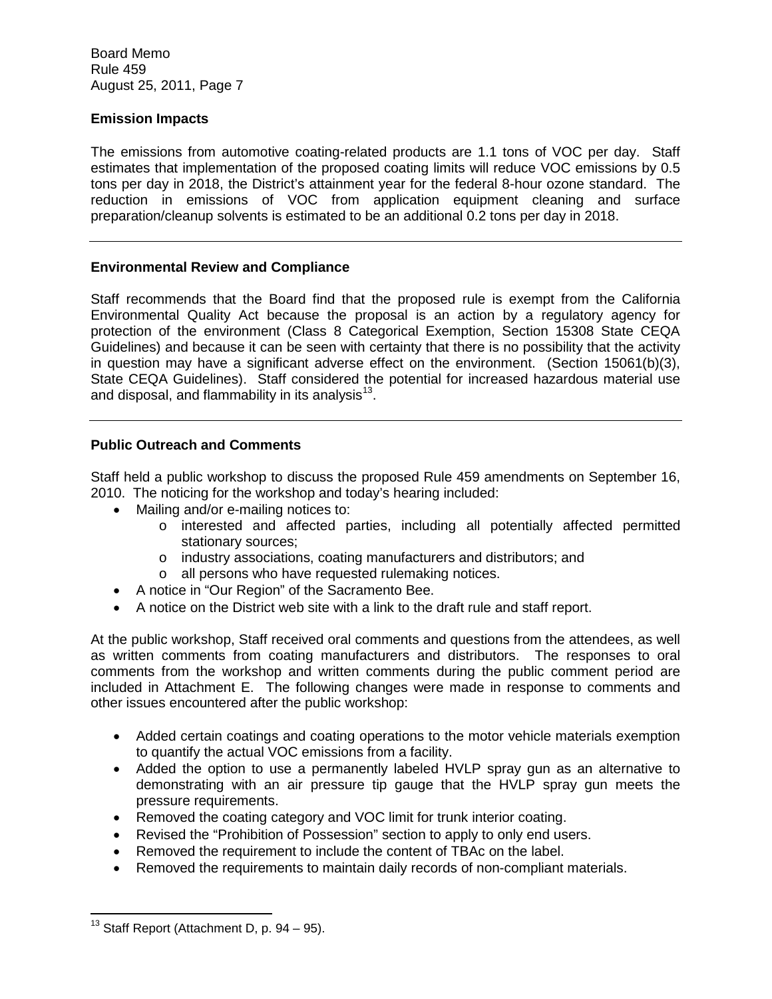## **Emission Impacts**

The emissions from automotive coating-related products are 1.1 tons of VOC per day. Staff estimates that implementation of the proposed coating limits will reduce VOC emissions by 0.5 tons per day in 2018, the District's attainment year for the federal 8-hour ozone standard. The reduction in emissions of VOC from application equipment cleaning and surface preparation/cleanup solvents is estimated to be an additional 0.2 tons per day in 2018.

### **Environmental Review and Compliance**

Staff recommends that the Board find that the proposed rule is exempt from the California Environmental Quality Act because the proposal is an action by a regulatory agency for protection of the environment (Class 8 Categorical Exemption, Section 15308 State CEQA Guidelines) and because it can be seen with certainty that there is no possibility that the activity in question may have a significant adverse effect on the environment. (Section 15061(b)(3), State CEQA Guidelines). Staff considered the potential for increased hazardous material use and disposal, and flammability in its analysis $^{13}$ .

### **Public Outreach and Comments**

Staff held a public workshop to discuss the proposed Rule 459 amendments on September 16, 2010. The noticing for the workshop and today's hearing included:

- Mailing and/or e-mailing notices to:
	- o interested and affected parties, including all potentially affected permitted stationary sources;
	- o industry associations, coating manufacturers and distributors; and
	- o all persons who have requested rulemaking notices.
- A notice in "Our Region" of the Sacramento Bee.
- A notice on the District web site with a link to the draft rule and staff report.

At the public workshop, Staff received oral comments and questions from the attendees, as well as written comments from coating manufacturers and distributors. The responses to oral comments from the workshop and written comments during the public comment period are included in Attachment E. The following changes were made in response to comments and other issues encountered after the public workshop:

- Added certain coatings and coating operations to the motor vehicle materials exemption to quantify the actual VOC emissions from a facility.
- Added the option to use a permanently labeled HVLP spray gun as an alternative to demonstrating with an air pressure tip gauge that the HVLP spray gun meets the pressure requirements.
- Removed the coating category and VOC limit for trunk interior coating.
- Revised the "Prohibition of Possession" section to apply to only end users.
- Removed the requirement to include the content of TBAc on the label.
- Removed the requirements to maintain daily records of non-compliant materials.

 $13$  Staff Report (Attachment D, p. 94 – 95).